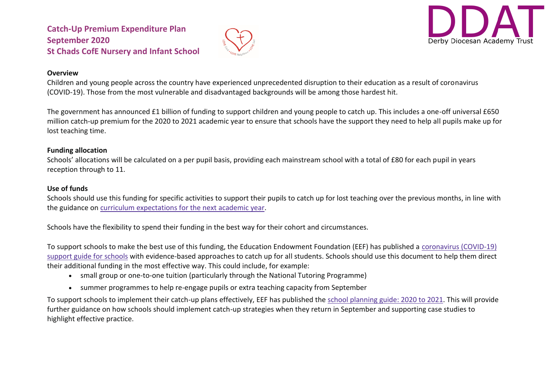



#### **Overview**

Children and young people across the country have experienced unprecedented disruption to their education as a result of coronavirus (COVID-19). Those from the most vulnerable and disadvantaged backgrounds will be among those hardest hit.

The government has announced £1 billion of funding to support children and young people to catch up. This includes a one-off universal £650 million catch-up premium for the 2020 to 2021 academic year to ensure that schools have the support they need to help all pupils make up for lost teaching time.

#### **Funding allocation**

Schools' allocations will be calculated on a per pupil basis, providing each mainstream school with a total of £80 for each pupil in years reception through to 11.

#### **Use of funds**

Schools should use this funding for specific activities to support their pupils to catch up for lost teaching over the previous months, in line with the guidance on curriculum [expectations](https://www.gov.uk/government/publications/actions-for-schools-during-the-coronavirus-outbreak/guidance-for-full-opening-schools#section-3-curriculum-behaviour-and-pastoral-support) for the next academic year.

Schools have the flexibility to spend their funding in the best way for their cohort and circumstances.

To support schools to make the best use of this funding, the Education Endowment Foundation (EEF) has published a [coronavirus](https://educationendowmentfoundation.org.uk/covid-19-resources/covid-19-support-guide-for-schools/#nav-covid-19-support-guide-for-schools1) (COVID-19) [support](https://educationendowmentfoundation.org.uk/covid-19-resources/covid-19-support-guide-for-schools/#nav-covid-19-support-guide-for-schools1) guide for schools with evidence-based approaches to catch up for all students. Schools should use this document to help them direct their additional funding in the most effective way. This could include, for example:

- small group or one-to-one tuition (particularly through the National Tutoring Programme)
- summer programmes to help re-engage pupils or extra teaching capacity from September

To support schools to implement their catch-up plans effectively, EEF has published the school [planning](https://educationendowmentfoundation.org.uk/covid-19-resources/guide-to-supporting-schools-planning/) guide: 2020 to 2021. This will provide further guidance on how schools should implement catch-up strategies when they return in September and supporting case studies to highlight effective practice.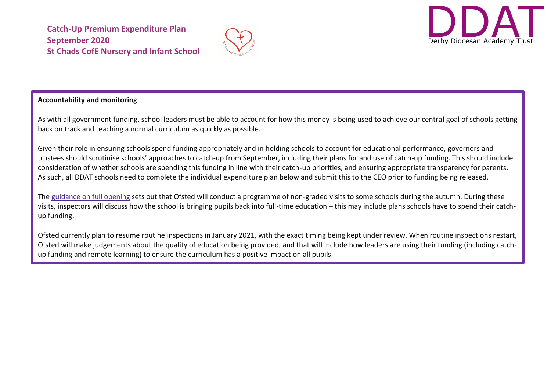



### **Accountability and monitoring**

As with all government funding, school leaders must be able to account for how this money is being used to achieve our central goal of schools getting back on track and teaching a normal curriculum as quickly as possible.

Given their role in ensuring schools spend funding appropriately and in holding schools to account for educational performance, governors and trustees should scrutinise schools' approaches to catch-up from September, including their plans for and use of catch-up funding. This should include consideration of whether schools are spending this funding in line with their catch-up priorities, and ensuring appropriate transparency for parents. As such, all DDAT schools need to complete the individual expenditure plan below and submit this to the CEO prior to funding being released.

The [guidance](https://www.gov.uk/government/publications/actions-for-schools-during-the-coronavirus-outbreak/guidance-for-full-opening-schools) on full opening sets out that Ofsted will conduct a programme of non-graded visits to some schools during the autumn. During these visits, inspectors will discuss how the school is bringing pupils back into full-time education – this may include plans schools have to spend their catchup funding.

Ofsted currently plan to resume routine inspections in January 2021, with the exact timing being kept under review. When routine inspections restart, Ofsted will make judgements about the quality of education being provided, and that will include how leaders are using their funding (including catchup funding and remote learning) to ensure the curriculum has a positive impact on all pupils.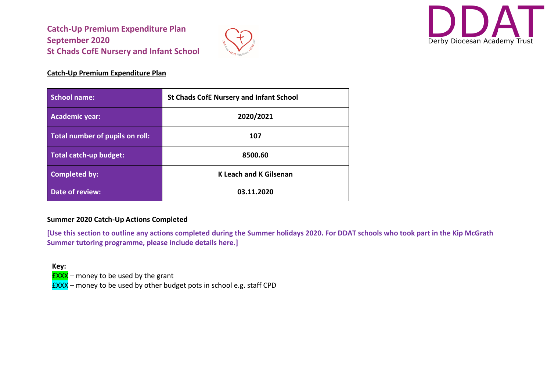



### **Catch-Up Premium Expenditure Plan**

| School name:                    | <b>St Chads CofE Nursery and Infant School</b> |
|---------------------------------|------------------------------------------------|
| <b>Academic year:</b>           | 2020/2021                                      |
| Total number of pupils on roll: | 107                                            |
| Total catch-up budget:          | 8500.60                                        |
| <b>Completed by:</b>            | <b>K Leach and K Gilsenan</b>                  |
| Date of review:                 | 03.11.2020                                     |

#### **Summer 2020 Catch-Up Actions Completed**

**[Use this section to outline any actions completed during the Summer holidays 2020. For DDAT schools who took part in the Kip McGrath Summer tutoring programme, please include details here.]**

**Key:**

 $EXXX$  – money to be used by the grant

 $EXXX$  – money to be used by other budget pots in school e.g. staff CPD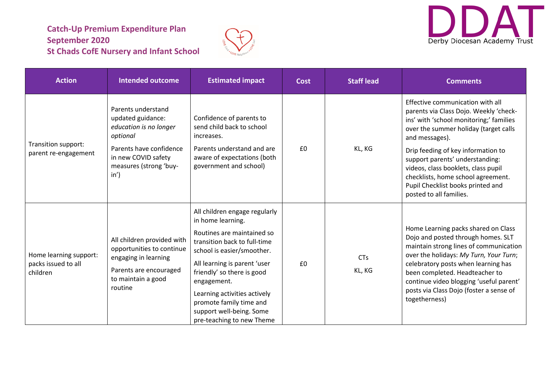



| <b>Action</b>                                             | <b>Intended outcome</b>                                                                                                                                                    | <b>Estimated impact</b>                                                                                                                                                                                                                                                                                                                         | <b>Cost</b> | <b>Staff lead</b>    | <b>Comments</b>                                                                                                                                                                                                                                                                                                                                                                                        |
|-----------------------------------------------------------|----------------------------------------------------------------------------------------------------------------------------------------------------------------------------|-------------------------------------------------------------------------------------------------------------------------------------------------------------------------------------------------------------------------------------------------------------------------------------------------------------------------------------------------|-------------|----------------------|--------------------------------------------------------------------------------------------------------------------------------------------------------------------------------------------------------------------------------------------------------------------------------------------------------------------------------------------------------------------------------------------------------|
| Transition support:<br>parent re-engagement               | Parents understand<br>updated guidance:<br>education is no longer<br>optional<br>Parents have confidence<br>in new COVID safety<br>measures (strong 'buy-<br>$in^{\prime}$ | Confidence of parents to<br>send child back to school<br>increases.<br>Parents understand and are<br>aware of expectations (both<br>government and school)                                                                                                                                                                                      | £0          | KL, KG               | Effective communication with all<br>parents via Class Dojo. Weekly 'check-<br>ins' with 'school monitoring;' families<br>over the summer holiday (target calls<br>and messages).<br>Drip feeding of key information to<br>support parents' understanding:<br>videos, class booklets, class pupil<br>checklists, home school agreement.<br>Pupil Checklist books printed and<br>posted to all families. |
| Home learning support:<br>packs issued to all<br>children | All children provided with<br>opportunities to continue<br>engaging in learning<br>Parents are encouraged<br>to maintain a good<br>routine                                 | All children engage regularly<br>in home learning.<br>Routines are maintained so<br>transition back to full-time<br>school is easier/smoother.<br>All learning is parent 'user<br>friendly' so there is good<br>engagement.<br>Learning activities actively<br>promote family time and<br>support well-being. Some<br>pre-teaching to new Theme | £0          | <b>CTs</b><br>KL, KG | Home Learning packs shared on Class<br>Dojo and posted through homes. SLT<br>maintain strong lines of communication<br>over the holidays: My Turn, Your Turn;<br>celebratory posts when learning has<br>been completed. Headteacher to<br>continue video blogging 'useful parent'<br>posts via Class Dojo (foster a sense of<br>togetherness)                                                          |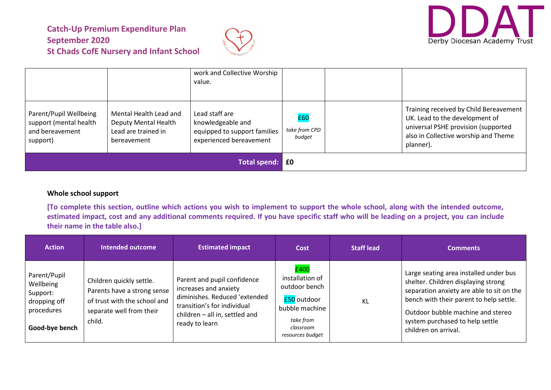



|                                                                                 |                                                                                      | work and Collective Worship<br>value.                                                          |                                |                                                                                                                                                                      |
|---------------------------------------------------------------------------------|--------------------------------------------------------------------------------------|------------------------------------------------------------------------------------------------|--------------------------------|----------------------------------------------------------------------------------------------------------------------------------------------------------------------|
| Parent/Pupil Wellbeing<br>support (mental health<br>and bereavement<br>support) | Mental Health Lead and<br>Deputy Mental Health<br>Lead are trained in<br>bereavement | Lead staff are<br>knowledgeable and<br>equipped to support families<br>experienced bereavement | £60<br>take from CPD<br>budget | Training received by Child Bereavement<br>UK. Lead to the development of<br>universal PSHE provision (supported<br>also in Collective worship and Theme<br>planner). |
| <b>Total spend:</b>                                                             |                                                                                      |                                                                                                | £0                             |                                                                                                                                                                      |

#### **Whole school support**

**[To complete this section, outline which actions you wish to implement to support the whole school, along with the intended outcome, estimated impact, cost and any additional comments required. If you have specific staff who will be leading on a project, you can include their name in the table also.]**

| <b>Action</b>                                                                         | <b>Intended outcome</b>                                                                                                       | <b>Estimated impact</b>                                                                                                                                                  | Cost                                                                                                                    | <b>Staff lead</b> | <b>Comments</b>                                                                                                                                                                                                                                                       |
|---------------------------------------------------------------------------------------|-------------------------------------------------------------------------------------------------------------------------------|--------------------------------------------------------------------------------------------------------------------------------------------------------------------------|-------------------------------------------------------------------------------------------------------------------------|-------------------|-----------------------------------------------------------------------------------------------------------------------------------------------------------------------------------------------------------------------------------------------------------------------|
| Parent/Pupil<br>Wellbeing<br>Support:<br>dropping off<br>procedures<br>Good-bye bench | Children quickly settle.<br>Parents have a strong sense<br>of trust with the school and<br>separate well from their<br>child. | Parent and pupil confidence<br>increases and anxiety<br>diminishes. Reduced 'extended<br>transition's for individual<br>children - all in, settled and<br>ready to learn | £400<br>installation of<br>outdoor bench<br>£50 outdoor<br>bubble machine<br>take from<br>classroom<br>resources budget | KL                | Large seating area installed under bus<br>shelter. Children displaying strong<br>separation anxiety are able to sit on the<br>bench with their parent to help settle.<br>Outdoor bubble machine and stereo<br>system purchased to help settle<br>children on arrival. |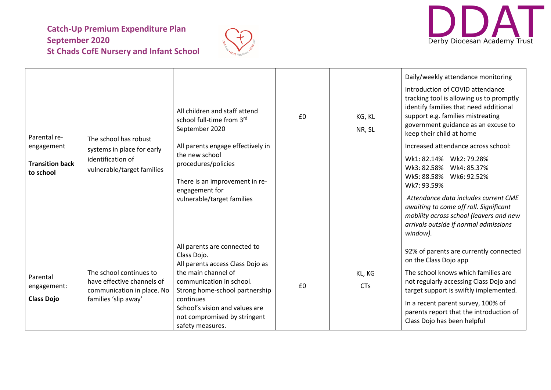



| Parental re-<br>engagement<br><b>Transition back</b><br>to school | The school has robust<br>systems in place for early<br>identification of<br>vulnerable/target families      | All children and staff attend<br>school full-time from 3rd<br>September 2020<br>All parents engage effectively in<br>the new school<br>procedures/policies<br>There is an improvement in re-<br>engagement for<br>vulnerable/target families                            | £0 | KG, KL<br>NR, SL     | Daily/weekly attendance monitoring<br>Introduction of COVID attendance<br>tracking tool is allowing us to promptly<br>identify families that need additional<br>support e.g. families mistreating<br>government guidance as an excuse to<br>keep their child at home<br>Increased attendance across school:<br>Wk1: 82.14% Wk2: 79.28%<br>Wk3: 82.58% Wk4: 85.37%<br>Wk5: 88.58% Wk6: 92.52%<br>Wk7: 93.59%<br>Attendance data includes current CME<br>awaiting to come off roll. Significant<br>mobility across school (leavers and new<br>arrivals outside if normal admissions<br>window). |
|-------------------------------------------------------------------|-------------------------------------------------------------------------------------------------------------|-------------------------------------------------------------------------------------------------------------------------------------------------------------------------------------------------------------------------------------------------------------------------|----|----------------------|-----------------------------------------------------------------------------------------------------------------------------------------------------------------------------------------------------------------------------------------------------------------------------------------------------------------------------------------------------------------------------------------------------------------------------------------------------------------------------------------------------------------------------------------------------------------------------------------------|
| Parental<br>engagement:<br><b>Class Dojo</b>                      | The school continues to<br>have effective channels of<br>communication in place. No<br>families 'slip away' | All parents are connected to<br>Class Dojo.<br>All parents access Class Dojo as<br>the main channel of<br>communication in school.<br>Strong home-school partnership<br>continues<br>School's vision and values are<br>not compromised by stringent<br>safety measures. | £0 | KL, KG<br><b>CTs</b> | 92% of parents are currently connected<br>on the Class Dojo app<br>The school knows which families are<br>not regularly accessing Class Dojo and<br>target support is swiftly implemented.<br>In a recent parent survey, 100% of<br>parents report that the introduction of<br>Class Dojo has been helpful                                                                                                                                                                                                                                                                                    |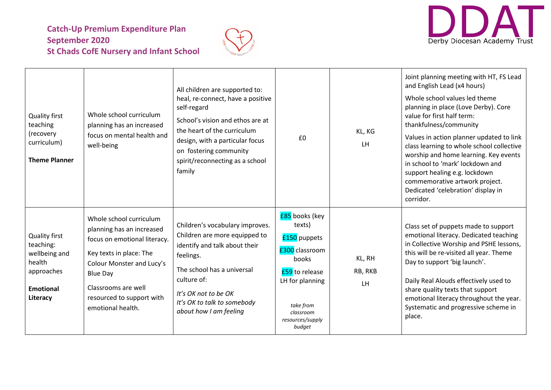



| <b>Quality first</b><br>teaching<br>(recovery<br>curriculum)<br><b>Theme Planner</b>                       | Whole school curriculum<br>planning has an increased<br>focus on mental health and<br>well-being                                                                                                                                         | All children are supported to:<br>heal, re-connect, have a positive<br>self-regard<br>School's vision and ethos are at<br>the heart of the curriculum<br>design, with a particular focus<br>on fostering community<br>spirit/reconnecting as a school<br>family | £0                                                                                                                                                                      | KL, KG<br><b>LH</b>     | Joint planning meeting with HT, FS Lead<br>and English Lead (x4 hours)<br>Whole school values led theme<br>planning in place (Love Derby). Core<br>value for first half term:<br>thankfulness/community<br>Values in action planner updated to link<br>class learning to whole school collective<br>worship and home learning. Key events<br>in school to 'mark' lockdown and<br>support healing e.g. lockdown<br>commemorative artwork project.<br>Dedicated 'celebration' display in<br>corridor. |
|------------------------------------------------------------------------------------------------------------|------------------------------------------------------------------------------------------------------------------------------------------------------------------------------------------------------------------------------------------|-----------------------------------------------------------------------------------------------------------------------------------------------------------------------------------------------------------------------------------------------------------------|-------------------------------------------------------------------------------------------------------------------------------------------------------------------------|-------------------------|-----------------------------------------------------------------------------------------------------------------------------------------------------------------------------------------------------------------------------------------------------------------------------------------------------------------------------------------------------------------------------------------------------------------------------------------------------------------------------------------------------|
| <b>Quality first</b><br>teaching:<br>wellbeing and<br>health<br>approaches<br><b>Emotional</b><br>Literacy | Whole school curriculum<br>planning has an increased<br>focus on emotional literacy.<br>Key texts in place: The<br>Colour Monster and Lucy's<br><b>Blue Day</b><br>Classrooms are well<br>resourced to support with<br>emotional health. | Children's vocabulary improves.<br>Children are more equipped to<br>identify and talk about their<br>feelings.<br>The school has a universal<br>culture of:<br>It's OK not to be OK<br>It's OK to talk to somebody<br>about how I am feeling                    | £85 books (key<br>texts)<br>£150 puppets<br>£300 classroom<br>books<br><b>£59</b> to release<br>LH for planning<br>take from<br>classroom<br>resources/supply<br>budget | KL, RH<br>RB, RKB<br>LH | Class set of puppets made to support<br>emotional literacy. Dedicated teaching<br>in Collective Worship and PSHE lessons,<br>this will be re-visited all year. Theme<br>Day to support 'big launch'.<br>Daily Real Alouds effectively used to<br>share quality texts that support<br>emotional literacy throughout the year.<br>Systematic and progressive scheme in<br>place.                                                                                                                      |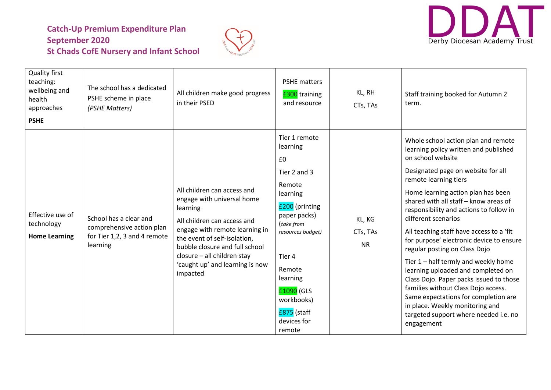



| <b>Quality first</b><br>teaching:<br>wellbeing and<br>health<br>approaches<br><b>PSHE</b> | The school has a dedicated<br>PSHE scheme in place<br>(PSHE Matters)                            | All children make good progress<br>in their PSED                                                                                                                                                                                                                                       | <b>PSHE matters</b><br><b>£300</b> training<br>and resource                                                                                                                                                                                    | KL, RH<br>CTs, TAs              | Staff training booked for Autumn 2<br>term.                                                                                                                                                                                                                                                                                                                                                                                                                                                                                                                                                                                                                                                                                                  |
|-------------------------------------------------------------------------------------------|-------------------------------------------------------------------------------------------------|----------------------------------------------------------------------------------------------------------------------------------------------------------------------------------------------------------------------------------------------------------------------------------------|------------------------------------------------------------------------------------------------------------------------------------------------------------------------------------------------------------------------------------------------|---------------------------------|----------------------------------------------------------------------------------------------------------------------------------------------------------------------------------------------------------------------------------------------------------------------------------------------------------------------------------------------------------------------------------------------------------------------------------------------------------------------------------------------------------------------------------------------------------------------------------------------------------------------------------------------------------------------------------------------------------------------------------------------|
| Effective use of<br>technology<br><b>Home Learning</b>                                    | School has a clear and<br>comprehensive action plan<br>for Tier 1,2, 3 and 4 remote<br>learning | All children can access and<br>engage with universal home<br>learning<br>All children can access and<br>engage with remote learning in<br>the event of self-isolation,<br>bubble closure and full school<br>closure - all children stay<br>'caught up' and learning is now<br>impacted | Tier 1 remote<br>learning<br>£0<br>Tier 2 and 3<br>Remote<br>learning<br>£200 (printing<br>paper packs)<br>(take from<br>resources budget)<br>Tier 4<br>Remote<br>learning<br>£1090 (GLS<br>workbooks)<br>£875 (staff<br>devices for<br>remote | KL, KG<br>CTs, TAs<br><b>NR</b> | Whole school action plan and remote<br>learning policy written and published<br>on school website<br>Designated page on website for all<br>remote learning tiers<br>Home learning action plan has been<br>shared with all staff - know areas of<br>responsibility and actions to follow in<br>different scenarios<br>All teaching staff have access to a 'fit<br>for purpose' electronic device to ensure<br>regular posting on Class Dojo<br>Tier 1 - half termly and weekly home<br>learning uploaded and completed on<br>Class Dojo. Paper packs issued to those<br>families without Class Dojo access.<br>Same expectations for completion are<br>in place. Weekly monitoring and<br>targeted support where needed i.e. no<br>engagement |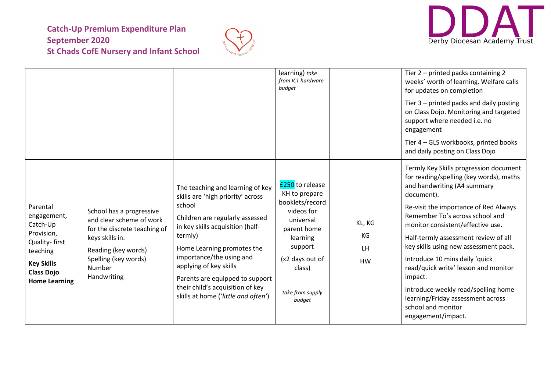



|                                                                                                                                                  |                                                                                                                                                                                 |                                                                                                                                                                                                                                                                                                                                                                     | learning) take<br>from ICT hardware<br>budget                                                                                                                                          |                                 | Tier 2 - printed packs containing 2<br>weeks' worth of learning. Welfare calls<br>for updates on completion<br>Tier 3 - printed packs and daily posting<br>on Class Dojo. Monitoring and targeted<br>support where needed i.e. no<br>engagement<br>Tier 4 - GLS workbooks, printed books<br>and daily posting on Class Dojo                                                                                                                                                                                                                   |
|--------------------------------------------------------------------------------------------------------------------------------------------------|---------------------------------------------------------------------------------------------------------------------------------------------------------------------------------|---------------------------------------------------------------------------------------------------------------------------------------------------------------------------------------------------------------------------------------------------------------------------------------------------------------------------------------------------------------------|----------------------------------------------------------------------------------------------------------------------------------------------------------------------------------------|---------------------------------|-----------------------------------------------------------------------------------------------------------------------------------------------------------------------------------------------------------------------------------------------------------------------------------------------------------------------------------------------------------------------------------------------------------------------------------------------------------------------------------------------------------------------------------------------|
| Parental<br>engagement,<br>Catch-Up<br>Provision,<br>Quality-first<br>teaching<br><b>Key Skills</b><br><b>Class Dojo</b><br><b>Home Learning</b> | School has a progressive<br>and clear scheme of work<br>for the discrete teaching of<br>keys skills in:<br>Reading (key words)<br>Spelling (key words)<br>Number<br>Handwriting | The teaching and learning of key<br>skills are 'high priority' across<br>school<br>Children are regularly assessed<br>in key skills acquisition (half-<br>termly)<br>Home Learning promotes the<br>importance/the using and<br>applying of key skills<br>Parents are equipped to support<br>their child's acquisition of key<br>skills at home ('little and often') | <b>£250</b> to release<br>KH to prepare<br>booklets/record<br>videos for<br>universal<br>parent home<br>learning<br>support<br>(x2 days out of<br>class)<br>take from supply<br>budget | KL, KG<br>KG<br>LH<br><b>HW</b> | Termly Key Skills progression document<br>for reading/spelling (key words), maths<br>and handwriting (A4 summary<br>document).<br>Re-visit the importance of Red Always<br>Remember To's across school and<br>monitor consistent/effective use.<br>Half-termly assessment review of all<br>key skills using new assessment pack.<br>Introduce 10 mins daily 'quick<br>read/quick write' lesson and monitor<br>impact.<br>Introduce weekly read/spelling home<br>learning/Friday assessment across<br>school and monitor<br>engagement/impact. |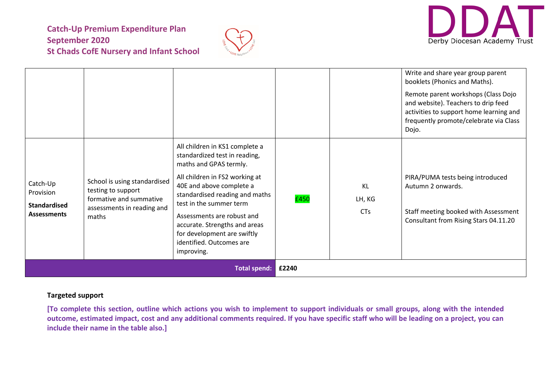



|                                                                    |                                                                                                                      |                                                                                                                                                                                                                                                                                                                                                              |       |                                   | Write and share year group parent<br>booklets (Phonics and Maths).<br>Remote parent workshops (Class Dojo<br>and website). Teachers to drip feed<br>activities to support home learning and<br>frequently promote/celebrate via Class<br>Dojo. |
|--------------------------------------------------------------------|----------------------------------------------------------------------------------------------------------------------|--------------------------------------------------------------------------------------------------------------------------------------------------------------------------------------------------------------------------------------------------------------------------------------------------------------------------------------------------------------|-------|-----------------------------------|------------------------------------------------------------------------------------------------------------------------------------------------------------------------------------------------------------------------------------------------|
| Catch-Up<br>Provision<br><b>Standardised</b><br><b>Assessments</b> | School is using standardised<br>testing to support<br>formative and summative<br>assessments in reading and<br>maths | All children in KS1 complete a<br>standardized test in reading,<br>maths and GPAS termly.<br>All children in FS2 working at<br>40E and above complete a<br>standardised reading and maths<br>test in the summer term<br>Assessments are robust and<br>accurate. Strengths and areas<br>for development are swiftly<br>identified. Outcomes are<br>improving. | £450  | <b>KL</b><br>LH, KG<br><b>CTs</b> | PIRA/PUMA tests being introduced<br>Autumn 2 onwards.<br>Staff meeting booked with Assessment<br>Consultant from Rising Stars 04.11.20                                                                                                         |
| <b>Total spend:</b>                                                |                                                                                                                      |                                                                                                                                                                                                                                                                                                                                                              | £2240 |                                   |                                                                                                                                                                                                                                                |

#### **Targeted support**

**[To complete this section, outline which actions you wish to implement to support individuals or small groups, along with the intended outcome, estimated impact, cost and any additional comments required. If you have specific staff who will be leading on a project, you can include their name in the table also.]**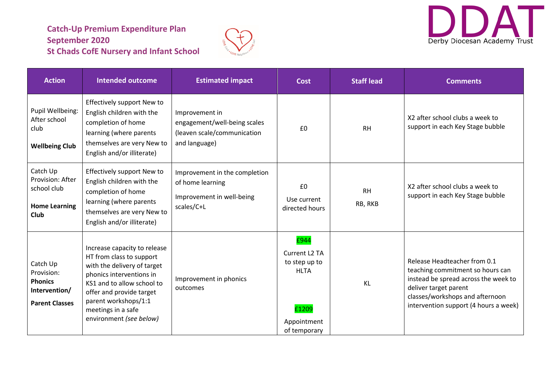



| <b>Action</b>                                                                      | <b>Intended outcome</b>                                                                                                                                                                                                                                | <b>Estimated impact</b>                                                                        | <b>Cost</b>                                                                                               | <b>Staff lead</b>    | <b>Comments</b>                                                                                                                                                                                               |
|------------------------------------------------------------------------------------|--------------------------------------------------------------------------------------------------------------------------------------------------------------------------------------------------------------------------------------------------------|------------------------------------------------------------------------------------------------|-----------------------------------------------------------------------------------------------------------|----------------------|---------------------------------------------------------------------------------------------------------------------------------------------------------------------------------------------------------------|
| Pupil Wellbeing:<br>After school<br>club<br><b>Wellbeing Club</b>                  | Effectively support New to<br>English children with the<br>completion of home<br>learning (where parents<br>themselves are very New to<br>English and/or illiterate)                                                                                   | Improvement in<br>engagement/well-being scales<br>(leaven scale/communication<br>and language) | £0                                                                                                        | <b>RH</b>            | X2 after school clubs a week to<br>support in each Key Stage bubble                                                                                                                                           |
| Catch Up<br>Provision: After<br>school club<br><b>Home Learning</b><br>Club        | Effectively support New to<br>English children with the<br>completion of home<br>learning (where parents<br>themselves are very New to<br>English and/or illiterate)                                                                                   | Improvement in the completion<br>of home learning<br>Improvement in well-being<br>scales/C+L   | £0<br>Use current<br>directed hours                                                                       | <b>RH</b><br>RB, RKB | X2 after school clubs a week to<br>support in each Key Stage bubble                                                                                                                                           |
| Catch Up<br>Provision:<br><b>Phonics</b><br>Intervention/<br><b>Parent Classes</b> | Increase capacity to release<br>HT from class to support<br>with the delivery of target<br>phonics interventions in<br>KS1 and to allow school to<br>offer and provide target<br>parent workshops/1:1<br>meetings in a safe<br>environment (see below) | Improvement in phonics<br>outcomes                                                             | £944<br>Current L <sub>2</sub> TA<br>to step up to<br><b>HLTA</b><br>£1209<br>Appointment<br>of temporary | KL                   | Release Headteacher from 0.1<br>teaching commitment so hours can<br>instead be spread across the week to<br>deliver target parent<br>classes/workshops and afternoon<br>intervention support (4 hours a week) |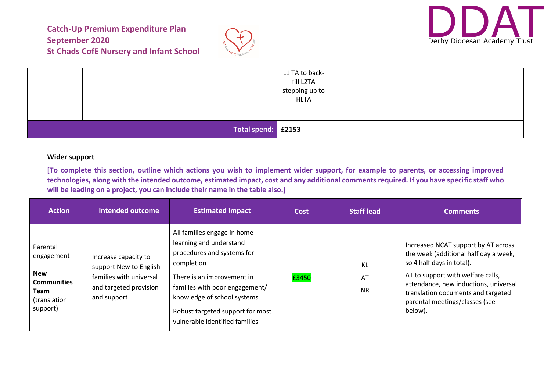



|                    |  | L1 TA to back-<br>fill L2TA<br>stepping up to<br><b>HLTA</b> |  |  |  |
|--------------------|--|--------------------------------------------------------------|--|--|--|
| Total spend: £2153 |  |                                                              |  |  |  |

#### **Wider support**

**[To complete this section, outline which actions you wish to implement wider support, for example to parents, or accessing improved technologies, along with the intended outcome, estimated impact, cost and any additional comments required. If you have specific staff who will be leading on a project, you can include their name in the table also.]**

| <b>Action</b>                                                                                  | <b>Intended outcome</b>                                                                                            | <b>Estimated impact</b>                                                                                                                                                                                                                                                 | Cost  | <b>Staff lead</b>     | <b>Comments</b>                                                                                                                                                                                                                                                            |
|------------------------------------------------------------------------------------------------|--------------------------------------------------------------------------------------------------------------------|-------------------------------------------------------------------------------------------------------------------------------------------------------------------------------------------------------------------------------------------------------------------------|-------|-----------------------|----------------------------------------------------------------------------------------------------------------------------------------------------------------------------------------------------------------------------------------------------------------------------|
| Parental<br>engagement<br><b>New</b><br><b>Communities</b><br>Team<br>(translation<br>support) | Increase capacity to<br>support New to English<br>families with universal<br>and targeted provision<br>and support | All families engage in home<br>learning and understand<br>procedures and systems for<br>completion<br>There is an improvement in<br>families with poor engagement/<br>knowledge of school systems<br>Robust targeted support for most<br>vulnerable identified families | £3450 | KL<br>AT<br><b>NR</b> | Increased NCAT support by AT across<br>the week (additional half day a week,<br>so 4 half days in total).<br>AT to support with welfare calls,<br>attendance, new inductions, universal<br>translation documents and targeted<br>parental meetings/classes (see<br>below). |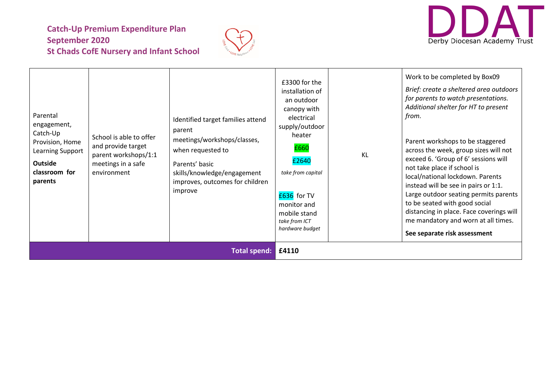



| Parental<br>engagement,<br>Catch-Up<br>Provision, Home<br>Learning Support<br><b>Outside</b><br>classroom for<br>parents | School is able to offer<br>and provide target<br>parent workshops/1:1<br>meetings in a safe<br>environment | Identified target families attend<br>parent<br>meetings/workshops/classes,<br>when requested to<br>Parents' basic<br>skills/knowledge/engagement<br>improves, outcomes for children<br>improve | £3300 for the<br>installation of<br>an outdoor<br>canopy with<br>electrical<br>supply/outdoor<br>heater<br>£660<br>£2640<br>take from capital<br>£636 for TV<br>monitor and<br>mobile stand<br>take from ICT<br>hardware budget | KL | Work to be completed by Box09<br>Brief: create a sheltered area outdoors<br>for parents to watch presentations.<br>Additional shelter for HT to present<br>from.<br>Parent workshops to be staggered<br>across the week, group sizes will not<br>exceed 6. 'Group of 6' sessions will<br>not take place if school is<br>local/national lockdown. Parents<br>instead will be see in pairs or 1:1.<br>Large outdoor seating permits parents<br>to be seated with good social<br>distancing in place. Face coverings will<br>me mandatory and worn at all times.<br>See separate risk assessment |
|--------------------------------------------------------------------------------------------------------------------------|------------------------------------------------------------------------------------------------------------|------------------------------------------------------------------------------------------------------------------------------------------------------------------------------------------------|---------------------------------------------------------------------------------------------------------------------------------------------------------------------------------------------------------------------------------|----|-----------------------------------------------------------------------------------------------------------------------------------------------------------------------------------------------------------------------------------------------------------------------------------------------------------------------------------------------------------------------------------------------------------------------------------------------------------------------------------------------------------------------------------------------------------------------------------------------|
| <b>Total spend:</b>                                                                                                      |                                                                                                            |                                                                                                                                                                                                | £4110                                                                                                                                                                                                                           |    |                                                                                                                                                                                                                                                                                                                                                                                                                                                                                                                                                                                               |